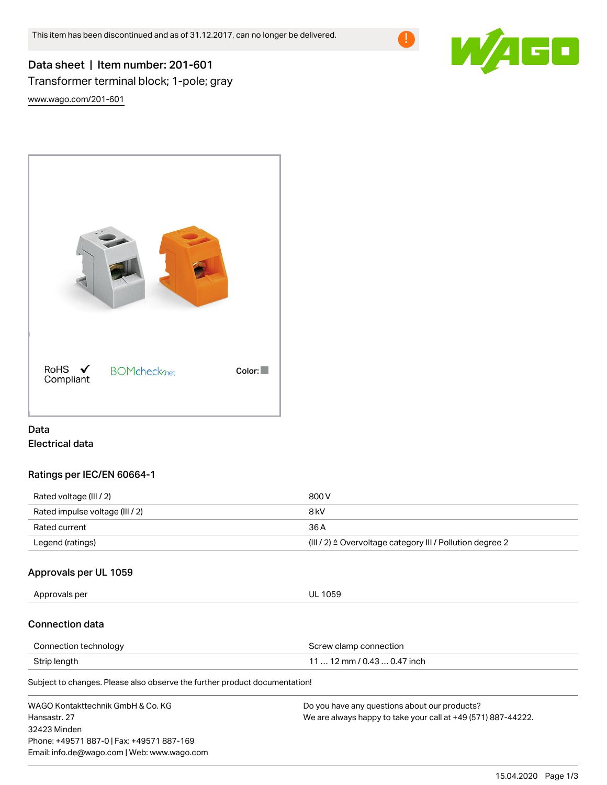

# Data sheet | Item number: 201-601 Transformer terminal block; 1-pole; gray

[www.wago.com/201-601](http://www.wago.com/201-601)



# Data Electrical data

### Ratings per IEC/EN 60664-1

| Rated voltage (III / 2)         | 800 V                                                                |
|---------------------------------|----------------------------------------------------------------------|
| Rated impulse voltage (III / 2) | 8 kV                                                                 |
| Rated current                   | 36 A                                                                 |
| Legend (ratings)                | (III / 2) $\triangleq$ Overvoltage category III / Pollution degree 2 |

#### Approvals per UL 1059

Approvals per UL 1059

#### Connection data

| Connection technology | Screw clamp connection      |
|-----------------------|-----------------------------|
| Strip length          | 11  12 mm / 0.43  0.47 inch |

Subject to changes. Please also observe the further product documentation!

| WAGO Kontakttechnik GmbH & Co. KG           | Do you have any questions about our products?                 |
|---------------------------------------------|---------------------------------------------------------------|
| Hansastr. 27                                | We are always happy to take your call at +49 (571) 887-44222. |
| 32423 Minden                                |                                                               |
| Phone: +49571 887-0   Fax: +49571 887-169   |                                                               |
| Email: info.de@wago.com   Web: www.wago.com |                                                               |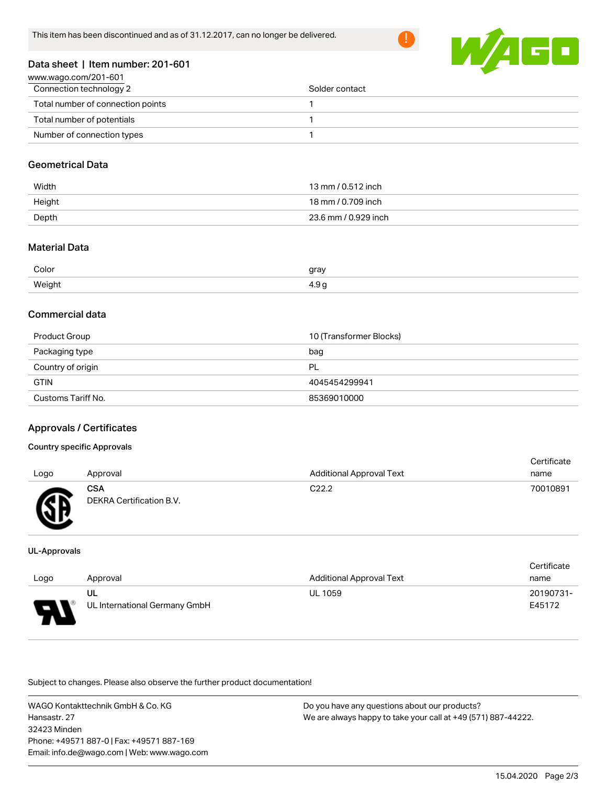

#### Data sheet | Item number: 201-601

| www.wago.com/201-601              |                |  |  |
|-----------------------------------|----------------|--|--|
| Connection technology 2           | Solder contact |  |  |
| Total number of connection points |                |  |  |
| Total number of potentials        |                |  |  |
| Number of connection types        |                |  |  |

#### Geometrical Data

| Width  | 13 mm / 0.512 inch   |
|--------|----------------------|
| Height | 18 mm / 0.709 inch   |
| Depth  | 23.6 mm / 0.929 inch |

### Material Data

| Color      | gray<br>$\overline{\phantom{0}}$ |
|------------|----------------------------------|
| Weight<br> | $\sim$<br>-⊷                     |

#### Commercial data

| Product Group      | 10 (Transformer Blocks) |
|--------------------|-------------------------|
| Packaging type     | bag                     |
| Country of origin  | PL                      |
| <b>GTIN</b>        | 4045454299941           |
| Customs Tariff No. | 85369010000             |

#### Approvals / Certificates

#### Country specific Approvals

| Logo     | Approval                               | <b>Additional Approval Text</b> | Certificate<br>name |
|----------|----------------------------------------|---------------------------------|---------------------|
| <b>R</b> | <b>CSA</b><br>DEKRA Certification B.V. | C <sub>22.2</sub>               | 70010891            |

#### UL-Approvals

|                  |                               |                                 | Certificate |  |
|------------------|-------------------------------|---------------------------------|-------------|--|
| Approval<br>Logo |                               | <b>Additional Approval Text</b> | name        |  |
|                  | UL                            | <b>UL 1059</b>                  | 20190731-   |  |
| o                | UL International Germany GmbH |                                 | E45172      |  |

Subject to changes. Please also observe the further product documentation!

WAGO Kontakttechnik GmbH & Co. KG Hansastr. 27 32423 Minden Phone: +49571 887-0 | Fax: +49571 887-169 Email: info.de@wago.com | Web: www.wago.com Do you have any questions about our products? We are always happy to take your call at +49 (571) 887-44222.